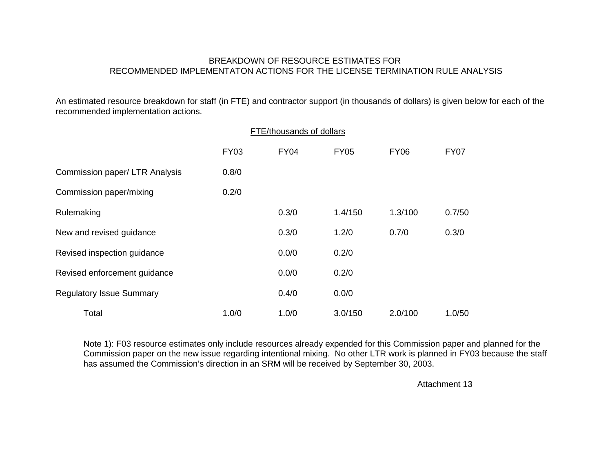## BREAKDOWN OF RESOURCE ESTIMATES FOR RECOMMENDED IMPLEMENTATON ACTIONS FOR THE LICENSE TERMINATION RULE ANALYSIS

An estimated resource breakdown for staff (in FTE) and contractor support (in thousands of dollars) is given below for each of the recommended implementation actions.

|                                 | FTE/thousands of dollars |             |             |             |             |
|---------------------------------|--------------------------|-------------|-------------|-------------|-------------|
|                                 | <b>FY03</b>              | <b>FY04</b> | <b>FY05</b> | <b>FY06</b> | <b>FY07</b> |
| Commission paper/ LTR Analysis  | 0.8/0                    |             |             |             |             |
| Commission paper/mixing         | 0.2/0                    |             |             |             |             |
| Rulemaking                      |                          | 0.3/0       | 1.4/150     | 1.3/100     | 0.7/50      |
| New and revised guidance        |                          | 0.3/0       | 1.2/0       | 0.7/0       | 0.3/0       |
| Revised inspection guidance     |                          | 0.0/0       | 0.2/0       |             |             |
| Revised enforcement guidance    |                          | 0.0/0       | 0.2/0       |             |             |
| <b>Regulatory Issue Summary</b> |                          | 0.4/0       | 0.0/0       |             |             |
| Total                           | 1.0/0                    | 1.0/0       | 3.0/150     | 2.0/100     | 1.0/50      |

Note 1): F03 resource estimates only include resources already expended for this Commission paper and planned for the Commission paper on the new issue regarding intentional mixing. No other LTR work is planned in FY03 because the staff has assumed the Commission's direction in an SRM will be received by September 30, 2003.

Attachment 13